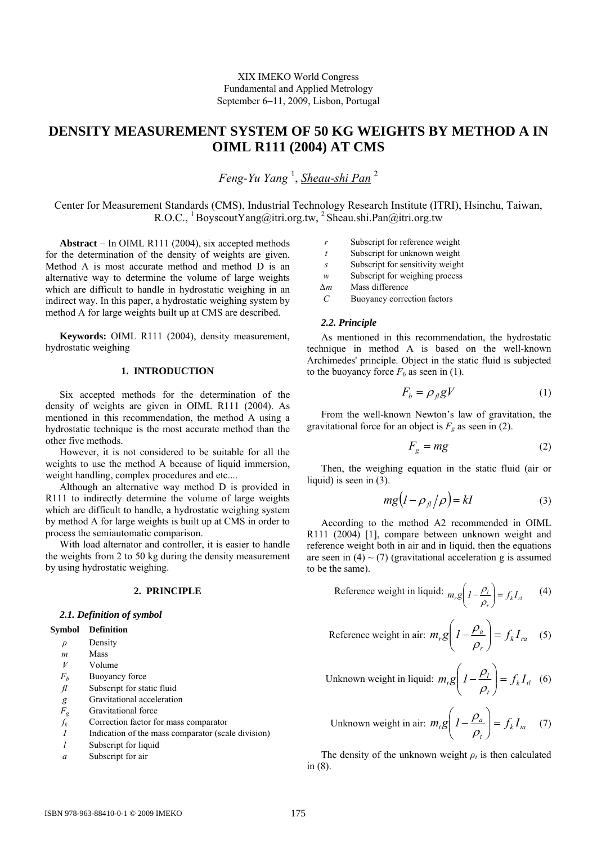# **DENSITY MEASUREMENT SYSTEM OF 50 KG WEIGHTS BY METHOD A IN OIML R111 (2004) AT CMS**

*Feng-Yu Yang* <sup>1</sup> , *Sheau-shi Pan* <sup>2</sup>

Center for Measurement Standards (CMS), Industrial Technology Research Institute (ITRI), Hsinchu, Taiwan, R.O.C., <sup>1</sup> BoyscoutYang@itri.org.tw, <sup>2</sup> Sheau.shi.Pan@itri.org.tw

**Abstract** − In OIML R111 (2004), six accepted methods for the determination of the density of weights are given. Method A is most accurate method and method D is an alternative way to determine the volume of large weights which are difficult to handle in hydrostatic weighing in an indirect way. In this paper, a hydrostatic weighing system by method A for large weights built up at CMS are described.

**Keywords:** OIML R111 (2004), density measurement, hydrostatic weighing

## **1. INTRODUCTION**

Six accepted methods for the determination of the density of weights are given in OIML R111 (2004). As mentioned in this recommendation, the method A using a hydrostatic technique is the most accurate method than the other five methods.

However, it is not considered to be suitable for all the weights to use the method A because of liquid immersion, weight handling, complex procedures and etc....

Although an alternative way method D is provided in R111 to indirectly determine the volume of large weights which are difficult to handle, a hydrostatic weighing system by method A for large weights is built up at CMS in order to process the semiautomatic comparison.

With load alternator and controller, it is easier to handle the weights from 2 to 50 kg during the density measurement by using hydrostatic weighing.

# **2. PRINCIPLE**

#### *2.1. Definition of symbol*

- **Symbol Definition** 
	- *ρ* Density
	- *m* Mass
	-
	- *V* Volume<br>*F<sub><sup>L</sub>* Buoyano</sub></sup> **Buoyancy** force
	- *fl* Subscript for static fluid
	- *g* Gravitational acceleration<br>  $F_g$  Gravitational force
	- **Gravitational** force
	- *fk* Correction factor for mass comparator
	- *I* Indication of the mass comparator (scale division)
	- *l* Subscript for liquid
	- *a* Subscript for air
- *r* Subscript for reference weight
- *t* Subscript for unknown weight
- *s* Subscript for sensitivity weight
- *w* Subscript for weighing process
- *∆m* Mass difference
- *C* Buoyancy correction factors

#### *2.2. Principle*

As mentioned in this recommendation, the hydrostatic technique in method A is based on the well-known Archimedes' principle. Object in the static fluid is subjected to the buoyancy force  $F_b$  as seen in (1).

$$
F_b = \rho_{\beta} gV \tag{1}
$$

From the well-known Newton's law of gravitation, the gravitational force for an object is  $F<sub>g</sub>$  as seen in (2).

$$
F_g = mg \tag{2}
$$

Then, the weighing equation in the static fluid (air or liquid) is seen in  $(3)$ .

$$
mg(l - \rho_{\text{fl}}/\rho) = kI \tag{3}
$$

According to the method A2 recommended in OIML R111 (2004) [1], compare between unknown weight and reference weight both in air and in liquid, then the equations are seen in  $(4) \sim (7)$  (gravitational acceleration g is assumed to be the same).

Reference weight in liquid: 
$$
m_r g \left( I - \frac{\rho_l}{\rho_r} \right) = f_k I_{rl}
$$
 (4)

Reference weight in air: 
$$
m_r g \left( I - \frac{\rho_a}{\rho_r} \right) = f_k I_{ra}
$$
 (5)

Unknown weight in liquid: 
$$
m_t g \left( I - \frac{\rho_l}{\rho_t} \right) = f_k I_{tl}
$$
 (6)

Unknown weight in air: 
$$
m_t g \left( I - \frac{\rho_a}{\rho_t} \right) = f_k I_{ta}
$$
 (7)

The density of the unknown weight  $\rho_t$  is then calculated in (8).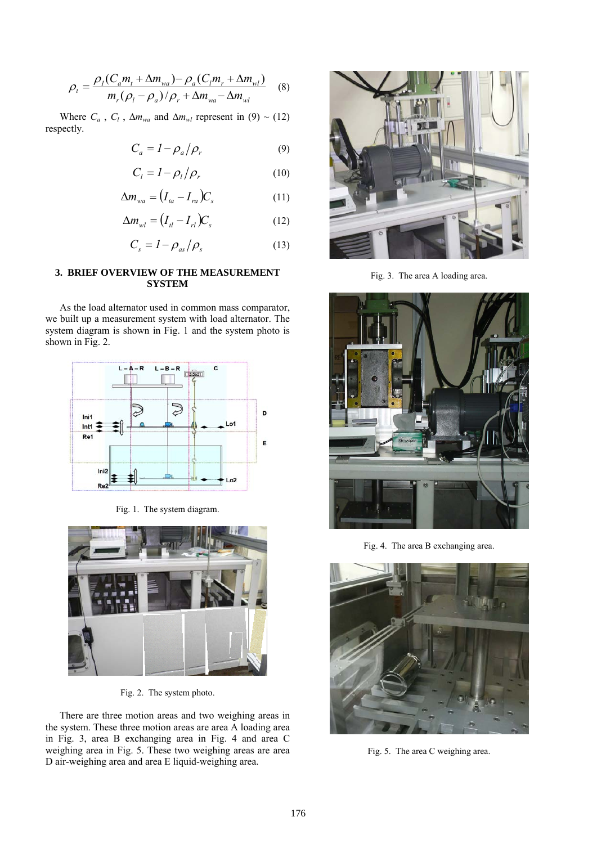$$
\rho_t = \frac{\rho_l (C_a m_t + \Delta m_{wa}) - \rho_a (C_l m_r + \Delta m_{wl})}{m_r (\rho_l - \rho_a) / \rho_r + \Delta m_{wa} - \Delta m_{wl}}
$$
(8)

Where  $C_a$ ,  $C_l$ ,  $\Delta m_{wa}$  and  $\Delta m_{wl}$  represent in (9) ~ (12) respectly.

$$
C_a = I - \rho_a / \rho_r \tag{9}
$$

$$
C_l = I - \rho_l / \rho_r \tag{10}
$$

$$
\Delta m_{wa} = (I_{ta} - I_{ra})C_s \tag{11}
$$

$$
\Delta m_{wl} = (I_{tl} - I_{rl})C_s \tag{12}
$$

$$
C_s = I - \rho_{as}/\rho_s \tag{13}
$$

# **3. BRIEF OVERVIEW OF THE MEASUREMENT SYSTEM**

As the load alternator used in common mass comparator, we built up a measurement system with load alternator. The system diagram is shown in Fig. 1 and the system photo is shown in Fig. 2.



Fig. 1. The system diagram.



Fig. 2. The system photo.

There are three motion areas and two weighing areas in the system. These three motion areas are area A loading area in Fig. 3, area B exchanging area in Fig. 4 and area C weighing area in Fig. 5. These two weighing areas are area D air-weighing area and area E liquid-weighing area.



Fig. 3. The area A loading area.



Fig. 4. The area B exchanging area.



Fig. 5. The area C weighing area.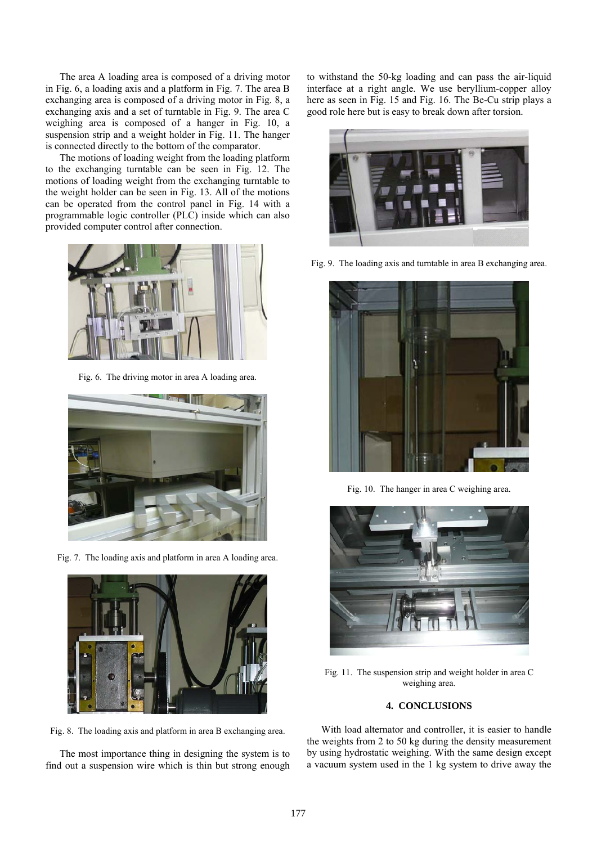The area A loading area is composed of a driving motor in Fig. 6, a loading axis and a platform in Fig. 7. The area B exchanging area is composed of a driving motor in Fig. 8, a exchanging axis and a set of turntable in Fig. 9. The area C weighing area is composed of a hanger in Fig. 10, a suspension strip and a weight holder in Fig. 11. The hanger is connected directly to the bottom of the comparator.

The motions of loading weight from the loading platform to the exchanging turntable can be seen in Fig. 12. The motions of loading weight from the exchanging turntable to the weight holder can be seen in Fig. 13. All of the motions can be operated from the control panel in Fig. 14 with a programmable logic controller (PLC) inside which can also provided computer control after connection.



Fig. 6. The driving motor in area A loading area.



Fig. 7. The loading axis and platform in area A loading area.



Fig. 8. The loading axis and platform in area B exchanging area.

The most importance thing in designing the system is to find out a suspension wire which is thin but strong enough to withstand the 50-kg loading and can pass the air-liquid interface at a right angle. We use beryllium-copper alloy here as seen in Fig. 15 and Fig. 16. The Be-Cu strip plays a good role here but is easy to break down after torsion.



Fig. 9. The loading axis and turntable in area B exchanging area.



Fig. 10. The hanger in area C weighing area.



Fig. 11. The suspension strip and weight holder in area C weighing area.

## **4. CONCLUSIONS**

With load alternator and controller, it is easier to handle the weights from 2 to 50 kg during the density measurement by using hydrostatic weighing. With the same design except a vacuum system used in the 1 kg system to drive away the